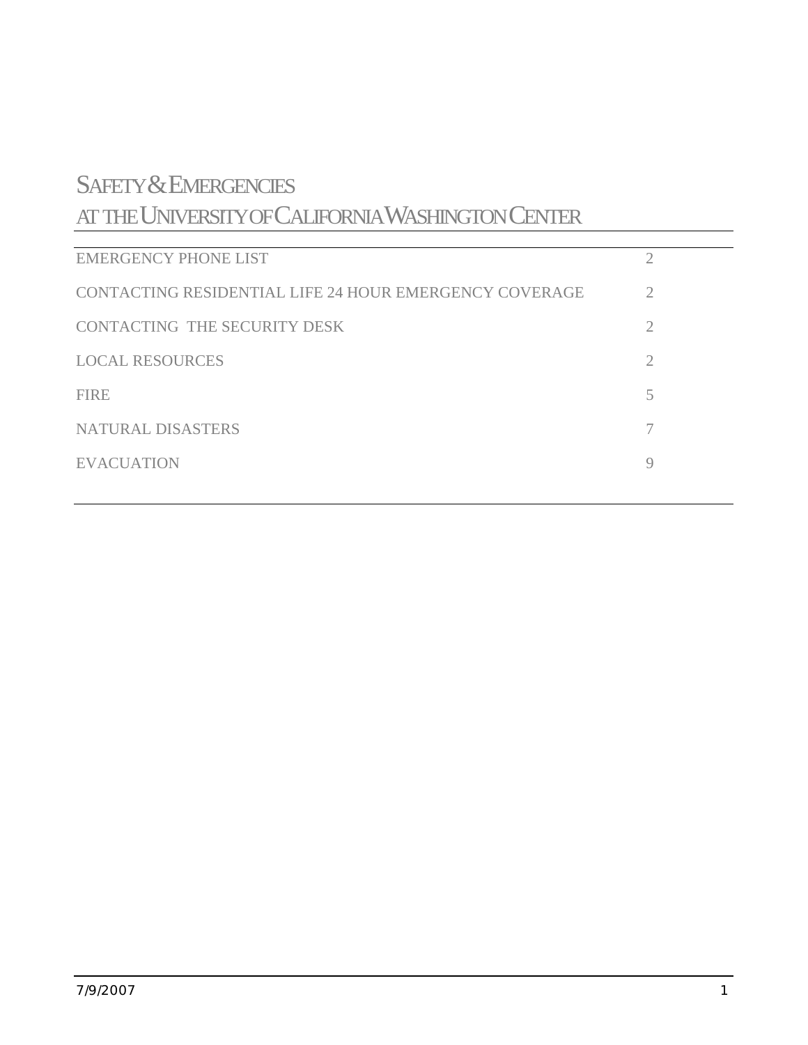# SAFETY & EMERGENCIES

AT THE UNIVERSITY OF CALIFORNIA WASHINGTON CENTER

| <b>EMERGENCY PHONE LIST</b>                            |             |
|--------------------------------------------------------|-------------|
| CONTACTING RESIDENTIAL LIFE 24 HOUR EMERGENCY COVERAGE | 2           |
| CONTACTING THE SECURITY DESK                           | 2           |
| <b>LOCAL RESOURCES</b>                                 | 2           |
| <b>FIRE</b>                                            | 5           |
| <b>NATURAL DISASTERS</b>                               |             |
| <b>EVACUATION</b>                                      | $\mathbf Q$ |
|                                                        |             |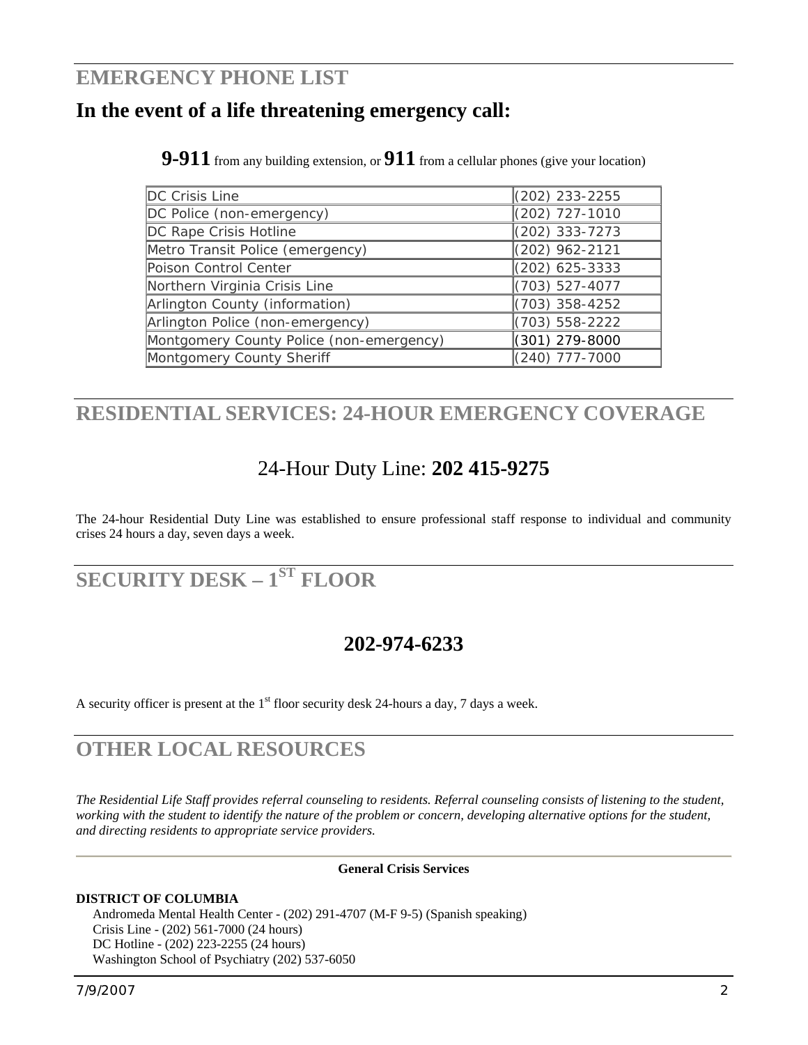# <span id="page-1-0"></span>**EMERGENCY PHONE LIST**

# **In the event of a life threatening emergency call:**

**9-911** from any building extension, or **911** from a cellular phones (give your location)

| DC Crisis Line                           | $(202)$ 233-2255   |
|------------------------------------------|--------------------|
| DC Police (non-emergency)                | (202) 727-1010     |
| DC Rape Crisis Hotline                   | $(202)$ 333-7273   |
| Metro Transit Police (emergency)         | (202) 962-2121     |
| Poison Control Center                    | $(202)$ 625-3333   |
| Northern Virginia Crisis Line            | (703) 527-4077     |
| Arlington County (information)           | $(703)$ 358-4252   |
| Arlington Police (non-emergency)         | $(703) 558 - 2222$ |
| Montgomery County Police (non-emergency) | (301) 279-8000     |
| Montgomery County Sheriff                | $(240)$ 777-7000   |

# **RESIDENTIAL SERVICES: 24-HOUR EMERGENCY COVERAGE**

# 24-Hour Duty Line: **202 415-9275**

The 24-hour Residential Duty Line was established to ensure professional staff response to individual and community crises 24 hours a day, seven days a week.

# **SECURITY DESK – 1ST FLOOR**

# **202-974-6233**

A security officer is present at the  $1<sup>st</sup>$  floor security desk 24-hours a day, 7 days a week.

# **OTHER LOCAL RESOURCES**

*The Residential Life Staff provides referral counseling to residents. Referral counseling consists of listening to the student, working with the student to identify the nature of the problem or concern, developing alternative options for the student, and directing residents to appropriate service providers.* 

# **General Crisis Services**

# **DISTRICT OF COLUMBIA**

 Andromeda Mental Health Center - (202) 291-4707 (M-F 9-5) (Spanish speaking) Crisis Line - (202) 561-7000 (24 hours) DC Hotline - (202) 223-2255 (24 hours) Washington School of Psychiatry (202) 537-6050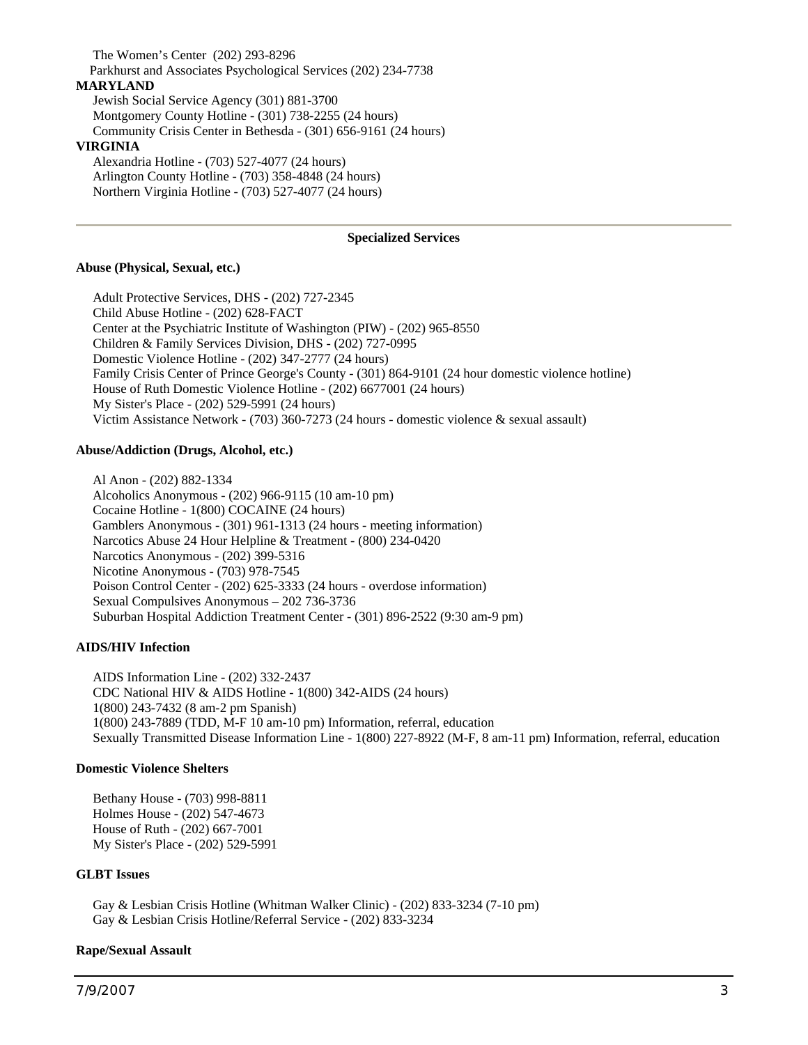The Women's Center (202) 293-8296 Parkhurst and Associates Psychological Services (202) 234-7738 **MARYLAND** Jewish Social Service Agency (301) 881-3700 Montgomery County Hotline - (301) 738-2255 (24 hours) Community Crisis Center in Bethesda - (301) 656-9161 (24 hours) **VIRGINIA** Alexandria Hotline - (703) 527-4077 (24 hours) Arlington County Hotline - (703) 358-4848 (24 hours) Northern Virginia Hotline - (703) 527-4077 (24 hours)

#### **Specialized Services**

#### **Abuse (Physical, Sexual, etc.)**

 Adult Protective Services, DHS - (202) 727-2345 Child Abuse Hotline - (202) 628-FACT Center at the Psychiatric Institute of Washington (PIW) - (202) 965-8550 Children & Family Services Division, DHS - (202) 727-0995 Domestic Violence Hotline - (202) 347-2777 (24 hours) Family Crisis Center of Prince George's County - (301) 864-9101 (24 hour domestic violence hotline) House of Ruth Domestic Violence Hotline - (202) 6677001 (24 hours) My Sister's Place - (202) 529-5991 (24 hours) Victim Assistance Network - (703) 360-7273 (24 hours - domestic violence & sexual assault)

#### **Abuse/Addiction (Drugs, Alcohol, etc.)**

 Al Anon - (202) 882-1334 Alcoholics Anonymous - (202) 966-9115 (10 am-10 pm) Cocaine Hotline - 1(800) COCAINE (24 hours) Gamblers Anonymous - (301) 961-1313 (24 hours - meeting information) Narcotics Abuse 24 Hour Helpline & Treatment - (800) 234-0420 Narcotics Anonymous - (202) 399-5316 Nicotine Anonymous - (703) 978-7545 Poison Control Center - (202) 625-3333 (24 hours - overdose information) Sexual Compulsives Anonymous – 202 736-3736 Suburban Hospital Addiction Treatment Center - (301) 896-2522 (9:30 am-9 pm)

### **AIDS/HIV Infection**

 AIDS Information Line - (202) 332-2437 CDC National HIV & AIDS Hotline - 1(800) 342-AIDS (24 hours) 1(800) 243-7432 (8 am-2 pm Spanish) 1(800) 243-7889 (TDD, M-F 10 am-10 pm) Information, referral, education Sexually Transmitted Disease Information Line - 1(800) 227-8922 (M-F, 8 am-11 pm) Information, referral, education

#### **Domestic Violence Shelters**

 Bethany House - (703) 998-8811 Holmes House - (202) 547-4673 House of Ruth - (202) 667-7001 My Sister's Place - (202) 529-5991

#### **GLBT Issues**

 Gay & Lesbian Crisis Hotline (Whitman Walker Clinic) - (202) 833-3234 (7-10 pm) Gay & Lesbian Crisis Hotline/Referral Service - (202) 833-3234

### **Rape/Sexual Assault**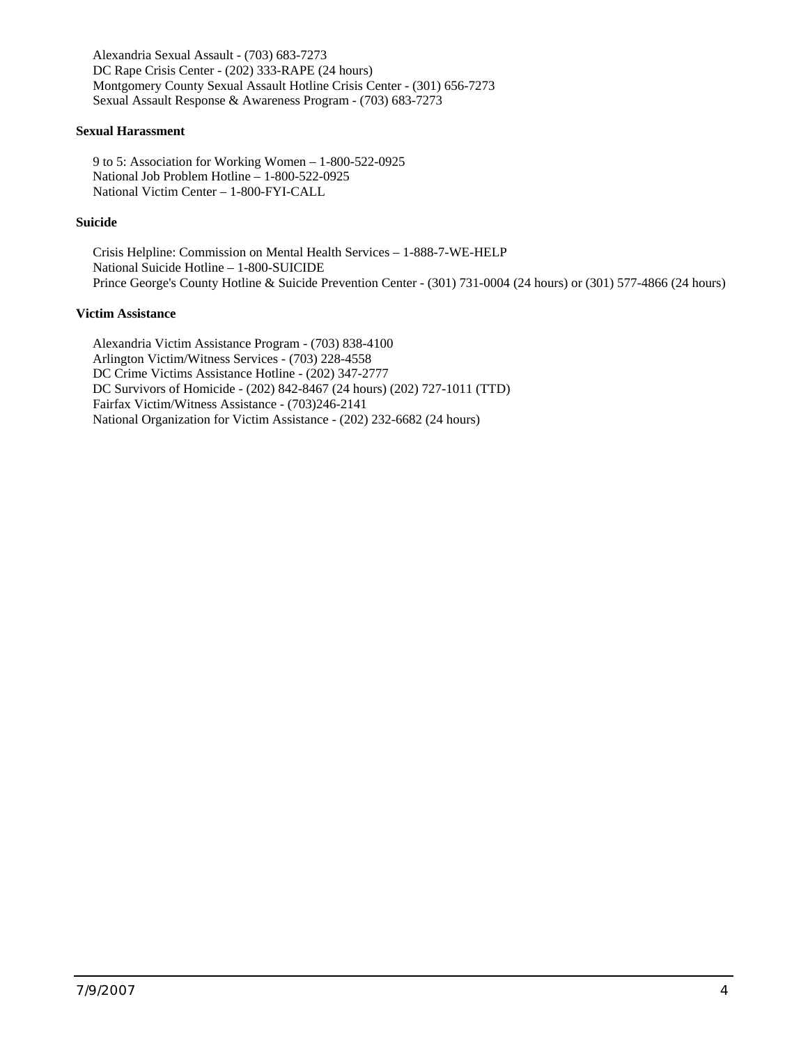Alexandria Sexual Assault - (703) 683-7273 DC Rape Crisis Center - (202) 333-RAPE (24 hours) Montgomery County Sexual Assault Hotline Crisis Center - (301) 656-7273 Sexual Assault Response & Awareness Program - (703) 683-7273

### **Sexual Harassment**

 9 to 5: Association for Working Women – 1-800-522-0925 National Job Problem Hotline – 1-800-522-0925 National Victim Center – 1-800-FYI-CALL

### **Suicide**

 Crisis Helpline: Commission on Mental Health Services – 1-888-7-WE-HELP National Suicide Hotline – 1-800-SUICIDE Prince George's County Hotline & Suicide Prevention Center - (301) 731-0004 (24 hours) or (301) 577-4866 (24 hours)

### **Victim Assistance**

 Alexandria Victim Assistance Program - (703) 838-4100 Arlington Victim/Witness Services - (703) 228-4558 DC Crime Victims Assistance Hotline - (202) 347-2777 DC Survivors of Homicide - (202) 842-8467 (24 hours) (202) 727-1011 (TTD) Fairfax Victim/Witness Assistance - (703)246-2141 National Organization for Victim Assistance - (202) 232-6682 (24 hours)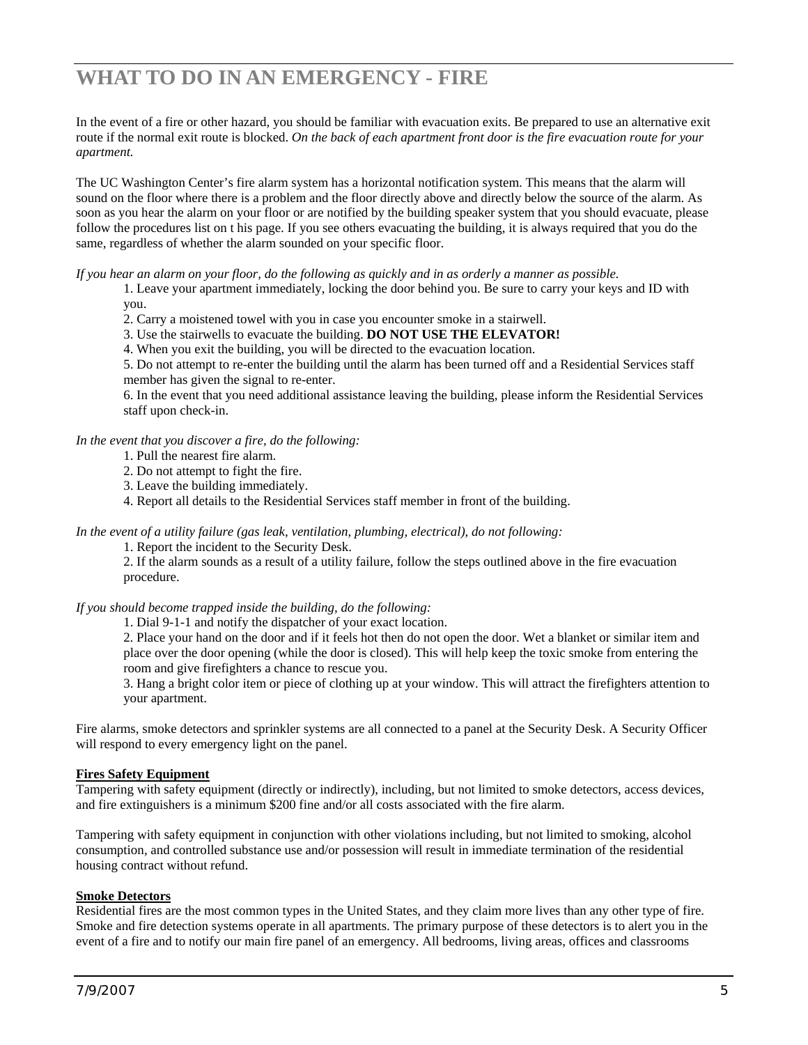# <span id="page-4-0"></span>**WHAT TO DO IN AN EMERGENCY - FIRE**

In the event of a fire or other hazard, you should be familiar with evacuation exits. Be prepared to use an alternative exit route if the normal exit route is blocked. *On the back of each apartment front door is the fire evacuation route for your apartment.*

The UC Washington Center's fire alarm system has a horizontal notification system. This means that the alarm will sound on the floor where there is a problem and the floor directly above and directly below the source of the alarm. As soon as you hear the alarm on your floor or are notified by the building speaker system that you should evacuate, please follow the procedures list on t his page. If you see others evacuating the building, it is always required that you do the same, regardless of whether the alarm sounded on your specific floor.

*If you hear an alarm on your floor, do the following as quickly and in as orderly a manner as possible.* 

1. Leave your apartment immediately, locking the door behind you. Be sure to carry your keys and ID with you.

2. Carry a moistened towel with you in case you encounter smoke in a stairwell.

3. Use the stairwells to evacuate the building. **DO NOT USE THE ELEVATOR!**

4. When you exit the building, you will be directed to the evacuation location.

5. Do not attempt to re-enter the building until the alarm has been turned off and a Residential Services staff member has given the signal to re-enter.

6. In the event that you need additional assistance leaving the building, please inform the Residential Services staff upon check-in.

*In the event that you discover a fire, do the following:* 

- 1. Pull the nearest fire alarm.
- 2. Do not attempt to fight the fire.
- 3. Leave the building immediately.
- 4. Report all details to the Residential Services staff member in front of the building.

*In the event of a utility failure (gas leak, ventilation, plumbing, electrical), do not following:* 

1. Report the incident to the Security Desk.

2. If the alarm sounds as a result of a utility failure, follow the steps outlined above in the fire evacuation procedure.

*If you should become trapped inside the building, do the following:* 

1. Dial 9-1-1 and notify the dispatcher of your exact location.

2. Place your hand on the door and if it feels hot then do not open the door. Wet a blanket or similar item and place over the door opening (while the door is closed). This will help keep the toxic smoke from entering the room and give firefighters a chance to rescue you.

3. Hang a bright color item or piece of clothing up at your window. This will attract the firefighters attention to your apartment.

Fire alarms, smoke detectors and sprinkler systems are all connected to a panel at the Security Desk. A Security Officer will respond to every emergency light on the panel.

#### **Fires Safety Equipment**

Tampering with safety equipment (directly or indirectly), including, but not limited to smoke detectors, access devices, and fire extinguishers is a minimum \$200 fine and/or all costs associated with the fire alarm.

Tampering with safety equipment in conjunction with other violations including, but not limited to smoking, alcohol consumption, and controlled substance use and/or possession will result in immediate termination of the residential housing contract without refund.

### **Smoke Detectors**

Residential fires are the most common types in the United States, and they claim more lives than any other type of fire. Smoke and fire detection systems operate in all apartments. The primary purpose of these detectors is to alert you in the event of a fire and to notify our main fire panel of an emergency. All bedrooms, living areas, offices and classrooms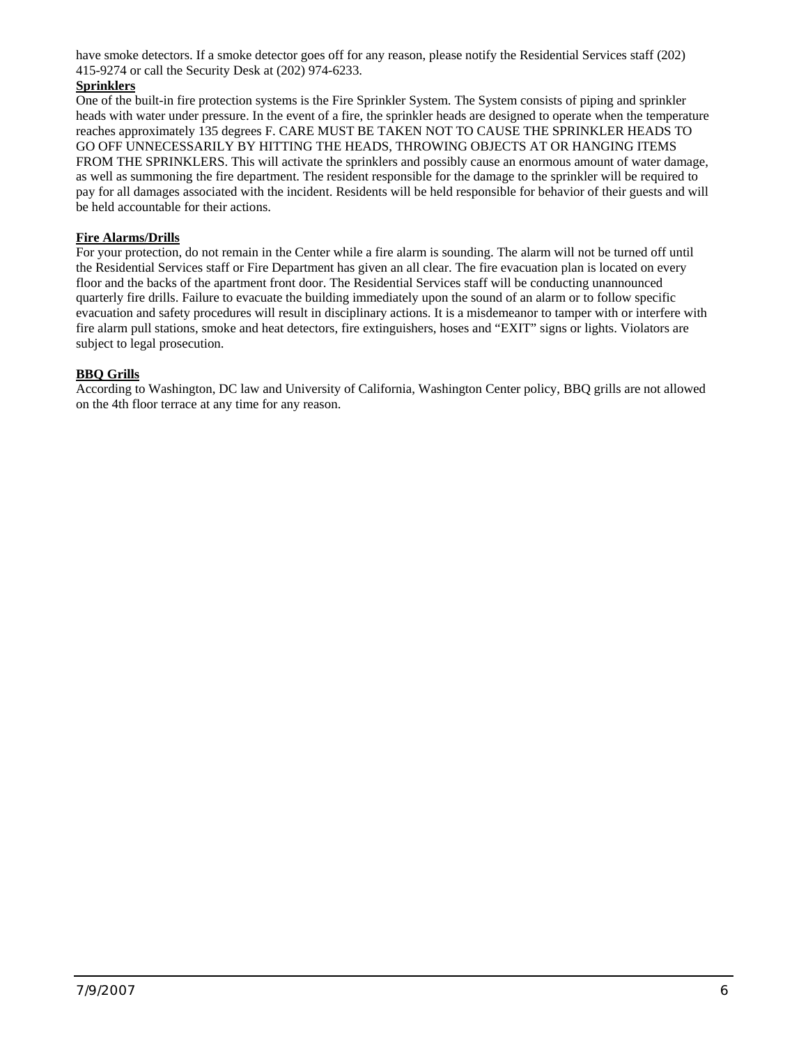have smoke detectors. If a smoke detector goes off for any reason, please notify the Residential Services staff (202) 415-9274 or call the Security Desk at (202) 974-6233.

# **Sprinklers**

One of the built-in fire protection systems is the Fire Sprinkler System. The System consists of piping and sprinkler heads with water under pressure. In the event of a fire, the sprinkler heads are designed to operate when the temperature reaches approximately 135 degrees F. CARE MUST BE TAKEN NOT TO CAUSE THE SPRINKLER HEADS TO GO OFF UNNECESSARILY BY HITTING THE HEADS, THROWING OBJECTS AT OR HANGING ITEMS FROM THE SPRINKLERS. This will activate the sprinklers and possibly cause an enormous amount of water damage, as well as summoning the fire department. The resident responsible for the damage to the sprinkler will be required to pay for all damages associated with the incident. Residents will be held responsible for behavior of their guests and will be held accountable for their actions.

### **Fire Alarms/Drills**

For your protection, do not remain in the Center while a fire alarm is sounding. The alarm will not be turned off until the Residential Services staff or Fire Department has given an all clear. The fire evacuation plan is located on every floor and the backs of the apartment front door. The Residential Services staff will be conducting unannounced quarterly fire drills. Failure to evacuate the building immediately upon the sound of an alarm or to follow specific evacuation and safety procedures will result in disciplinary actions. It is a misdemeanor to tamper with or interfere with fire alarm pull stations, smoke and heat detectors, fire extinguishers, hoses and "EXIT" signs or lights. Violators are subject to legal prosecution.

### **BBQ Grills**

According to Washington, DC law and University of California, Washington Center policy, BBQ grills are not allowed on the 4th floor terrace at any time for any reason.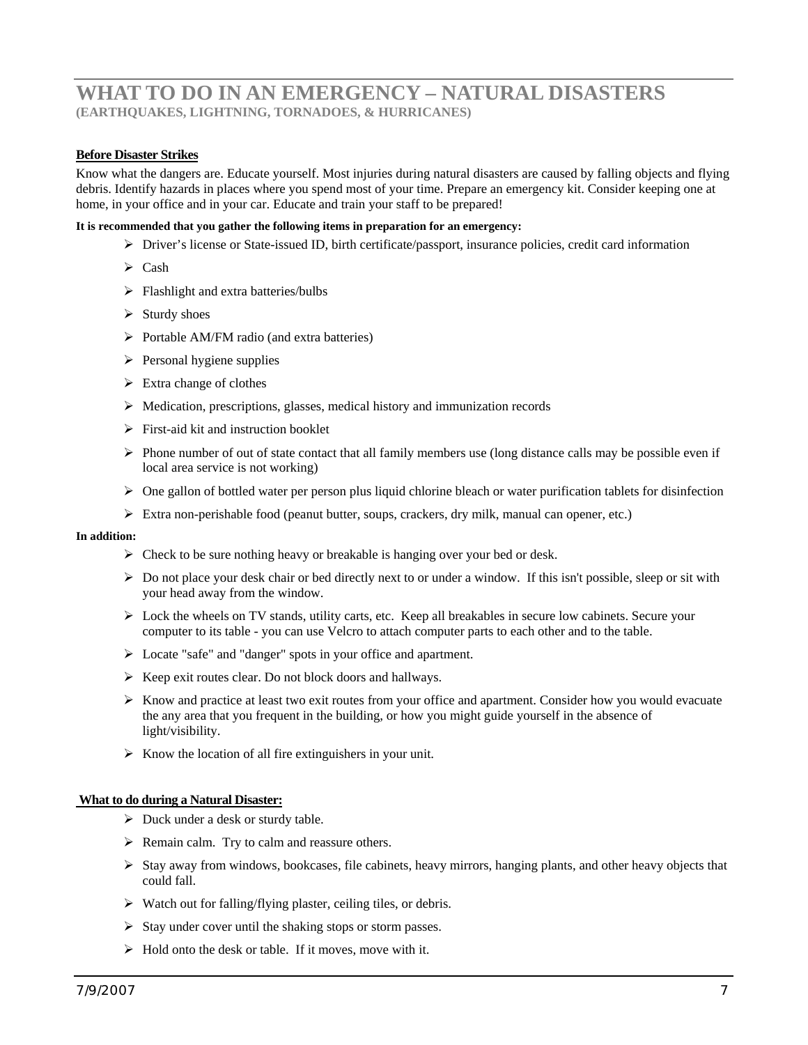# <span id="page-6-0"></span>**WHAT TO DO IN AN EMERGENCY – NATURAL DISASTERS (EARTHQUAKES, LIGHTNING, TORNADOES, & HURRICANES)**

### **Before Disaster Strikes**

Know what the dangers are. Educate yourself. Most injuries during natural disasters are caused by falling objects and flying debris. Identify hazards in places where you spend most of your time. Prepare an emergency kit. Consider keeping one at home, in your office and in your car. Educate and train your staff to be prepared!

#### **It is recommended that you gather the following items in preparation for an emergency:**

- ¾ Driver's license or State-issued ID, birth certificate/passport, insurance policies, credit card information
- $\triangleright$  Cash
- $\triangleright$  Flashlight and extra batteries/bulbs
- $\triangleright$  Sturdy shoes
- $\triangleright$  Portable AM/FM radio (and extra batteries)
- $\triangleright$  Personal hygiene supplies
- $\triangleright$  Extra change of clothes
- $\triangleright$  Medication, prescriptions, glasses, medical history and immunization records
- $\triangleright$  First-aid kit and instruction booklet
- $\triangleright$  Phone number of out of state contact that all family members use (long distance calls may be possible even if local area service is not working)
- $\triangleright$  One gallon of bottled water per person plus liquid chlorine bleach or water purification tablets for disinfection
- $\triangleright$  Extra non-perishable food (peanut butter, soups, crackers, dry milk, manual can opener, etc.)

#### **In addition:**

- $\triangleright$  Check to be sure nothing heavy or breakable is hanging over your bed or desk.
- $\triangleright$  Do not place your desk chair or bed directly next to or under a window. If this isn't possible, sleep or sit with your head away from the window.
- $\triangleright$  Lock the wheels on TV stands, utility carts, etc. Keep all breakables in secure low cabinets. Secure your computer to its table - you can use Velcro to attach computer parts to each other and to the table.
- ¾ Locate "safe" and "danger" spots in your office and apartment.
- $\triangleright$  Keep exit routes clear. Do not block doors and hallways.
- $\triangleright$  Know and practice at least two exit routes from your office and apartment. Consider how you would evacuate the any area that you frequent in the building, or how you might guide yourself in the absence of light/visibility.
- $\triangleright$  Know the location of all fire extinguishers in your unit.

#### **What to do during a Natural Disaster:**

- $\triangleright$  Duck under a desk or sturdy table.
- $\triangleright$  Remain calm. Try to calm and reassure others.
- $\triangleright$  Stay away from windows, bookcases, file cabinets, heavy mirrors, hanging plants, and other heavy objects that could fall.
- $\triangleright$  Watch out for falling/flying plaster, ceiling tiles, or debris.
- $\triangleright$  Stay under cover until the shaking stops or storm passes.
- $\triangleright$  Hold onto the desk or table. If it moves, move with it.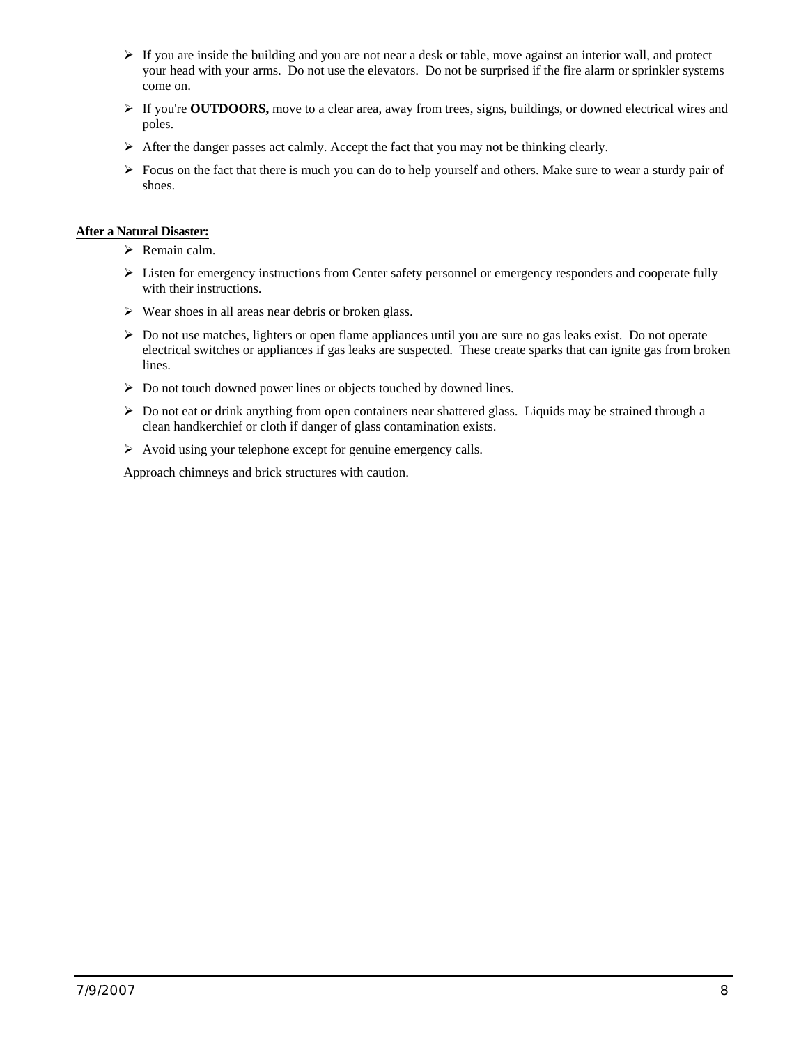- $\triangleright$  If you are inside the building and you are not near a desk or table, move against an interior wall, and protect your head with your arms. Do not use the elevators. Do not be surprised if the fire alarm or sprinkler systems come on.
- ¾ If you're **OUTDOORS,** move to a clear area, away from trees, signs, buildings, or downed electrical wires and poles.
- $\triangleright$  After the danger passes act calmly. Accept the fact that you may not be thinking clearly.
- $\triangleright$  Focus on the fact that there is much you can do to help yourself and others. Make sure to wear a sturdy pair of shoes.

### **After a Natural Disaster:**

- $\triangleright$  Remain calm.
- $\triangleright$  Listen for emergency instructions from Center safety personnel or emergency responders and cooperate fully with their instructions.
- $\triangleright$  Wear shoes in all areas near debris or broken glass.
- ¾ Do not use matches, lighters or open flame appliances until you are sure no gas leaks exist. Do not operate electrical switches or appliances if gas leaks are suspected. These create sparks that can ignite gas from broken lines.
- ¾ Do not touch downed power lines or objects touched by downed lines.
- $\triangleright$  Do not eat or drink anything from open containers near shattered glass. Liquids may be strained through a clean handkerchief or cloth if danger of glass contamination exists.
- ¾ Avoid using your telephone except for genuine emergency calls.

Approach chimneys and brick structures with caution.